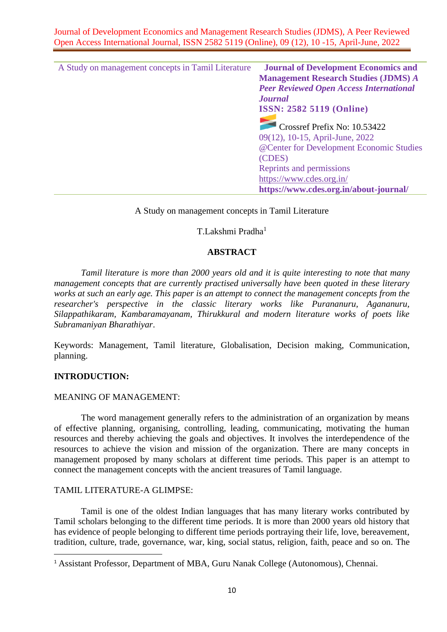Journal of Development Economics and Management Research Studies (JDMS), A Peer Reviewed Open Access International Journal, ISSN 2582 5119 (Online), 09 (12), 10 -15, April-June, 2022

| A Study on management concepts in Tamil Literature | <b>Journal of Development Economics and</b>    |
|----------------------------------------------------|------------------------------------------------|
|                                                    | <b>Management Research Studies (JDMS) A</b>    |
|                                                    | <b>Peer Reviewed Open Access International</b> |
|                                                    | <b>Journal</b>                                 |
|                                                    | <b>ISSN: 2582 5119 (Online)</b>                |
|                                                    | Crossref Prefix No: 10.53422                   |
|                                                    | 09(12), 10-15, April-June, 2022                |
|                                                    | @Center for Development Economic Studies       |
|                                                    | (CDES)                                         |
|                                                    | Reprints and permissions                       |
|                                                    | https://www.cdes.org.in/                       |
|                                                    | https://www.cdes.org.in/about-journal/         |
|                                                    |                                                |

### A Study on management concepts in Tamil Literature

T.Lakshmi Pradha<sup>1</sup>

# **ABSTRACT**

*Tamil literature is more than 2000 years old and it is quite interesting to note that many management concepts that are currently practised universally have been quoted in these literary works at such an early age. This paper is an attempt to connect the management concepts from the researcher's perspective in the classic literary works like Purananuru, Agananuru, Silappathikaram, Kambaramayanam, Thirukkural and modern literature works of poets like Subramaniyan Bharathiyar*.

Keywords: Management, Tamil literature, Globalisation, Decision making, Communication, planning.

### **INTRODUCTION:**

#### MEANING OF MANAGEMENT:

 The word management generally refers to the administration of an organization by means of effective planning, organising, controlling, leading, communicating, motivating the human resources and thereby achieving the goals and objectives. It involves the interdependence of the resources to achieve the vision and mission of the organization. There are many concepts in management proposed by many scholars at different time periods. This paper is an attempt to connect the management concepts with the ancient treasures of Tamil language.

### TAMIL LITERATURE-A GLIMPSE:

Tamil is one of the oldest Indian languages that has many literary works contributed by Tamil scholars belonging to the different time periods. It is more than 2000 years old history that has evidence of people belonging to different time periods portraying their life, love, bereavement, tradition, culture, trade, governance, war, king, social status, religion, faith, peace and so on. The

<sup>&</sup>lt;sup>1</sup> Assistant Professor, Department of MBA, Guru Nanak College (Autonomous), Chennai.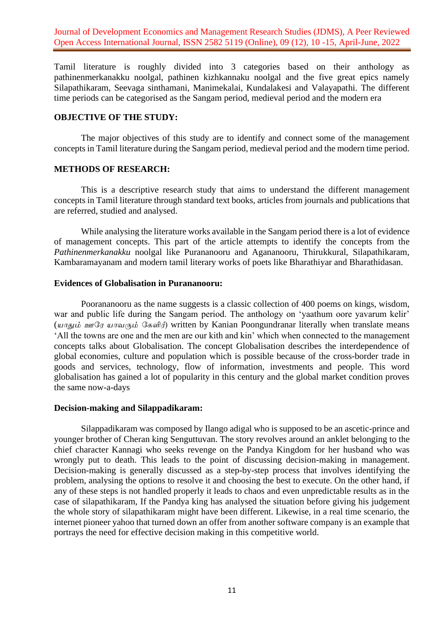Journal of Development Economics and Management Research Studies (JDMS), A Peer Reviewed Open Access International Journal, ISSN 2582 5119 (Online), 09 (12), 10 -15, April-June, 2022

Tamil literature is roughly divided into 3 categories based on their anthology as pathinenmerkanakku noolgal, pathinen kizhkannaku noolgal and the five great epics namely Silapathikaram, Seevaga sinthamani, Manimekalai, Kundalakesi and Valayapathi. The different time periods can be categorised as the Sangam period, medieval period and the modern era

### **OBJECTIVE OF THE STUDY:**

The major objectives of this study are to identify and connect some of the management concepts in Tamil literature during the Sangam period, medieval period and the modern time period.

### **METHODS OF RESEARCH:**

 This is a descriptive research study that aims to understand the different management concepts in Tamil literature through standard text books, articles from journals and publications that are referred, studied and analysed.

 While analysing the literature works available in the Sangam period there is a lot of evidence of management concepts. This part of the article attempts to identify the concepts from the *Pathinenmerkanakku* noolgal like Purananooru and Agananooru, Thirukkural, Silapathikaram, Kambaramayanam and modern tamil literary works of poets like Bharathiyar and Bharathidasan.

### **Evidences of Globalisation in Purananooru:**

Poorananooru as the name suggests is a classic collection of 400 poems on kings, wisdom, war and public life during the Sangam period. The anthology on 'yaathum oore yavarum kelir' (*யாதும் ஊரே யாவரும் ரேளிர்*) written by Kanian Poongundranar literally when translate means 'All the towns are one and the men are our kith and kin' which when connected to the management concepts talks about Globalisation. The concept Globalisation describes the interdependence of global economies, culture and population which is possible because of the cross-border trade in goods and services, technology, flow of information, investments and people. This word globalisation has gained a lot of popularity in this century and the global market condition proves the same now-a-days

### **Decision-making and Silappadikaram:**

Silappadikaram was composed by Ilango adigal who is supposed to be an ascetic-prince and younger brother of Cheran king Senguttuvan. The story revolves around an anklet belonging to the chief character Kannagi who seeks revenge on the Pandya Kingdom for her husband who was wrongly put to death. This leads to the point of discussing decision-making in management. Decision-making is generally discussed as a step-by-step process that involves identifying the problem, analysing the options to resolve it and choosing the best to execute. On the other hand, if any of these steps is not handled properly it leads to chaos and even unpredictable results as in the case of silapathikaram, If the Pandya king has analysed the situation before giving his judgement the whole story of silapathikaram might have been different. Likewise, in a real time scenario, the internet pioneer yahoo that turned down an offer from another software company is an example that portrays the need for effective decision making in this competitive world.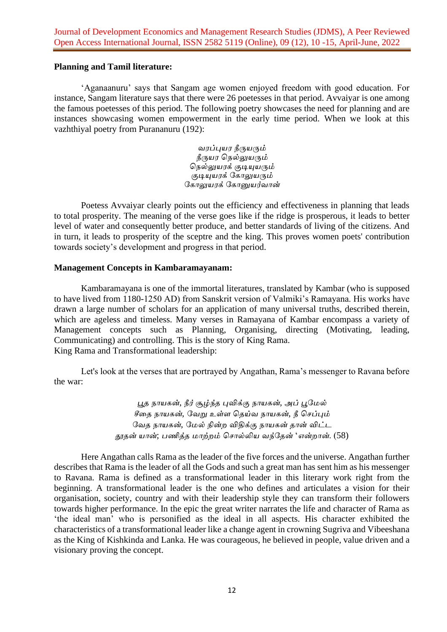# **Planning and Tamil literature:**

'Aganaanuru' says that Sangam age women enjoyed freedom with good education. For instance, Sangam literature says that there were 26 poetesses in that period. Avvaiyar is one among the famous poetesses of this period. The following poetry showcases the need for planning and are instances showcasing women empowerment in the early time period. When we look at this vazhthiyal poetry from Purananuru (192):

> *வேப்புயே நீருயரும் நீருயே நெல்லுயரும் நெல்லுயேக் குடியுயரும் குடியுயேக் ரோலுயரும் ரோலுயேக் ரோனுயர்வான்*

Poetess Avvaiyar clearly points out the efficiency and effectiveness in planning that leads to total prosperity. The meaning of the verse goes like if the ridge is prosperous, it leads to better level of water and consequently better produce, and better standards of living of the citizens. And in turn, it leads to prosperity of the sceptre and the king. This proves women poets' contribution towards society's development and progress in that period.

### **Management Concepts in Kambaramayanam:**

Kambaramayana is one of the immortal literatures, translated by Kambar (who is supposed to have lived from 1180-1250 AD) from Sanskrit version of Valmiki's Ramayana. His works have drawn a large number of scholars for an application of many universal truths, described therein, which are ageless and timeless. Many verses in Ramayana of Kambar encompass a variety of Management concepts such as Planning, Organising, directing (Motivating, leading, Communicating) and controlling. This is the story of King Rama. King Rama and Transformational leadership:

Let's look at the verses that are portrayed by Angathan, Rama's messenger to Ravana before the war:

> *பூத ொயேன்*, *நீர் சூழ்ந்த புவிக்கு ொயேன்*, *அப் பூரேல் சீதத ொயேன்*, *ரவறு உள்ள நதய்வ ொயேன்*, *நீ நெப்பும் ரவத ொயேன்*, *ரேல் நின்ற விதிக்கு ொயேன் தான் விட்ட தூதன் யான்*; *பணித்த ோற்றம் நொல்லிய வந்ரதன்* '*என்றான்*. (58)

Here Angathan calls Rama as the leader of the five forces and the universe. Angathan further describes that Rama is the leader of all the Gods and such a great man has sent him as his messenger to Ravana. Rama is defined as a transformational leader in this literary work right from the beginning. A transformational leader is the one who defines and articulates a vision for their organisation, society, country and with their leadership style they can transform their followers towards higher performance. In the epic the great writer narrates the life and character of Rama as 'the ideal man' who is personified as the ideal in all aspects. His character exhibited the characteristics of a transformational leader like a change agent in crowning Sugriva and Vibeeshana as the King of Kishkinda and Lanka. He was courageous, he believed in people, value driven and a visionary proving the concept.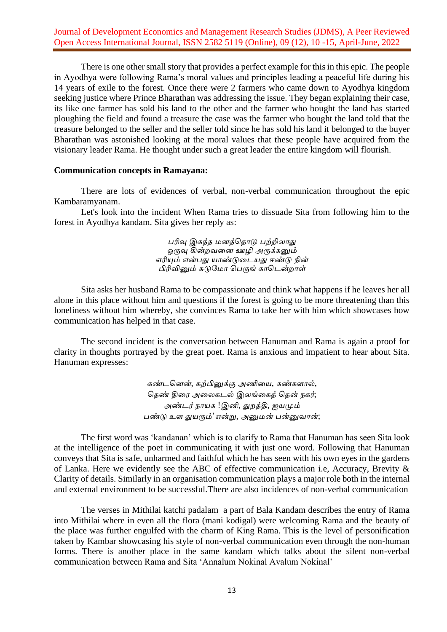# Journal of Development Economics and Management Research Studies (JDMS), A Peer Reviewed Open Access International Journal, ISSN 2582 5119 (Online), 09 (12), 10 -15, April-June, 2022

There is one other small story that provides a perfect example for this in this epic. The people in Ayodhya were following Rama's moral values and principles leading a peaceful life during his 14 years of exile to the forest. Once there were 2 farmers who came down to Ayodhya kingdom seeking justice where Prince Bharathan was addressing the issue. They began explaining their case, its like one farmer has sold his land to the other and the farmer who bought the land has started ploughing the field and found a treasure the case was the farmer who bought the land told that the treasure belonged to the seller and the seller told since he has sold his land it belonged to the buyer Bharathan was astonished looking at the moral values that these people have acquired from the visionary leader Rama. He thought under such a great leader the entire kingdom will flourish.

### **Communication concepts in Ramayana:**

There are lots of evidences of verbal, non-verbal communication throughout the epic Kambaramyanam.

Let's look into the incident When Rama tries to dissuade Sita from following him to the forest in Ayodhya kandam. Sita gives her reply as:

> *பரிவு இேந்த ேனத்நதாடு பற்றிலாது ஒருவு கின்றவதன ஊழி அருக்ேனும் எரியும் என்பது யாண்டுதடயது ஈண்டு நின் பிரிவினும் சுடுரோ நபருங் ோநடன்றாள்*

Sita asks her husband Rama to be compassionate and think what happens if he leaves her all alone in this place without him and questions if the forest is going to be more threatening than this loneliness without him whereby, she convinces Rama to take her with him which showcases how communication has helped in that case.

The second incident is the conversation between Hanuman and Rama is again a proof for clarity in thoughts portrayed by the great poet. Rama is anxious and impatient to hear about Sita. Hanuman expresses:

> *ேண்டநனன்*, *ேற்பினுக்கு அணிதய*, *ேண்ேளால்*, *நதண் திதே அதலேடல் இலங்தேத் நதன் ெேர்*; *அண்டர் ொயே* !*இனி*, *துறத்தி*, *ஐயமும் பண்டு உள துயரும்*'*என்று*, *அனுேன் பன்னுவான்*;

The first word was 'kandanan' which is to clarify to Rama that Hanuman has seen Sita look at the intelligence of the poet in communicating it with just one word. Following that Hanuman conveys that Sita is safe, unharmed and faithful which he has seen with his own eyes in the gardens of Lanka. Here we evidently see the ABC of effective communication i.e, Accuracy, Brevity & Clarity of details. Similarly in an organisation communication plays a major role both in the internal and external environment to be successful.There are also incidences of non-verbal communication

The verses in Mithilai katchi padalam a part of Bala Kandam describes the entry of Rama into Mithilai where in even all the flora (mani kodigal) were welcoming Rama and the beauty of the place was further engulfed with the charm of King Rama. This is the level of personification taken by Kambar showcasing his style of non-verbal communication even through the non-human forms. There is another place in the same kandam which talks about the silent non-verbal communication between Rama and Sita 'Annalum Nokinal Avalum Nokinal'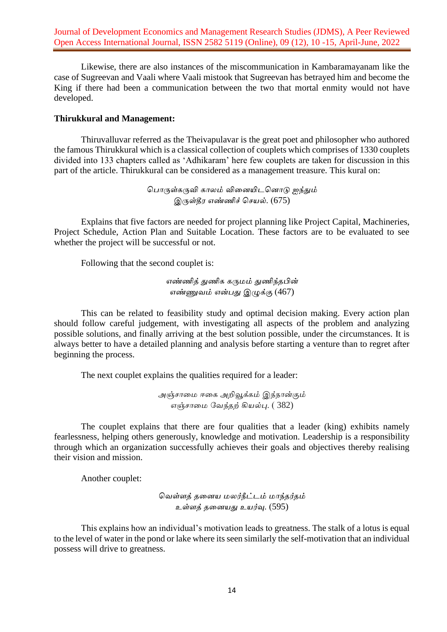Likewise, there are also instances of the miscommunication in Kambaramayanam like the case of Sugreevan and Vaali where Vaali mistook that Sugreevan has betrayed him and become the King if there had been a communication between the two that mortal enmity would not have developed.

# **Thirukkural and Management:**

Thiruvalluvar referred as the Theivapulavar is the great poet and philosopher who authored the famous Thirukkural which is a classical collection of couplets which comprises of 1330 couplets divided into 133 chapters called as 'Adhikaram' here few couplets are taken for discussion in this part of the article. Thirukkural can be considered as a management treasure. This kural on:

> *நபாருள்ேருவி ோலம் விதனயிடநனாடு ஐந்தும் இருள்தீே எண்ணிச் நெயல்*. (675)

Explains that five factors are needed for project planning like Project Capital, Machineries, Project Schedule, Action Plan and Suitable Location. These factors are to be evaluated to see whether the project will be successful or not.

Following that the second couplet is:

*எண்ணித் துணிே ேருேம் துணிந்தபின் எண்ணுவம் என்பது இழுக்கு* (467)

This can be related to feasibility study and optimal decision making. Every action plan should follow careful judgement, with investigating all aspects of the problem and analyzing possible solutions, and finally arriving at the best solution possible, under the circumstances. It is always better to have a detailed planning and analysis before starting a venture than to regret after beginning the process.

The next couplet explains the qualities required for a leader:

*அஞ்ொதே ஈதே அறிவூக்ேம் இந்ொன்கும் எஞ்ொதே ரவந்தற் கியல்பு*. ( 382)

The couplet explains that there are four qualities that a leader (king) exhibits namely fearlessness, helping others generously, knowledge and motivation. Leadership is a responsibility through which an organization successfully achieves their goals and objectives thereby realising their vision and mission.

Another couplet:

*நவள்ளத் ததனய ேலர்நீட்டம் ோந்தர்தம் உள்ளத் ததனயது உயர்வு*. (595)

This explains how an individual's motivation leads to greatness. The stalk of a lotus is equal to the level of water in the pond or lake where its seen similarly the self-motivation that an individual possess will drive to greatness.